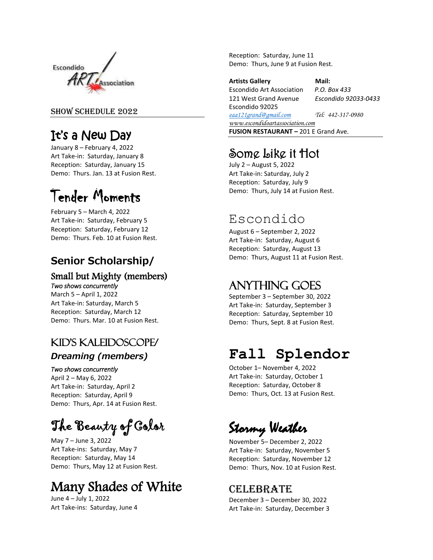

#### SHOW SCHEDULE 2022

# It's a New Day

January 8 – February 4, 2022 Art Take-in: Saturday, January 8 Reception: Saturday, January 15 Demo: Thurs. Jan. 13 at Fusion Rest.

# Tender Moments

February 5 – March 4, 2022 Art Take-in: Saturday, February 5 Reception: Saturday, February 12 Demo: Thurs. Feb. 10 at Fusion Rest.

### **Senior Scholarship/**

#### Small but Mighty (members) *Two shows concurrently*

March 5 – April 1, 2022 Art Take-in: Saturday, March 5 Reception: Saturday, March 12 Demo: Thurs. Mar. 10 at Fusion Rest.

### Kid's Kaleidoscope/

### *Dreaming (members)*

#### *Two shows concurrently*

April 2 – May 6, 2022 Art Take-in: Saturday, April 2 Reception: Saturday, April 9 Demo: Thurs, Apr. 14 at Fusion Rest.

The Beauty of Color

May 7 – June 3, 2022 Art Take-ins: Saturday, May 7 Reception: Saturday, May 14 Demo: Thurs, May 12 at Fusion Rest.

# Many Shades of White

June 4 – July 1, 2022 Art Take-ins: Saturday, June 4 Reception: Saturday, June 11 Demo: Thurs, June 9 at Fusion Rest.

**Artists Gallery Mail:**  Escondido Art Association *P.O. Box 433* 121 West Grand Avenue *Escondido 92033-0433* Escondido 92025 *[eaa121grand@gmail.com](mailto:eaa121grand@gmail.com) Tel: 442-317-0980 www.escondidoartassociation.com* **FUSION RESTAURANT –** 201 E Grand Ave.

## Some Like it Hot

July 2 – August 5, 2022 Art Take-in: Saturday, July 2 Reception: Saturday, July 9 Demo: Thurs, July 14 at Fusion Rest.

# Escondido

August 6 – September 2, 2022 Art Take-in: Saturday, August 6 Reception: Saturday, August 13 Demo: Thurs, August 11 at Fusion Rest.

### Anything Goes

September 3 – September 30, 2022 Art Take-in: Saturday, September 3 Reception: Saturday, September 10 Demo: Thurs, Sept. 8 at Fusion Rest.

# **Fall Splendor**

October 1– November 4, 2022 Art Take-in: Saturday, October 1 Reception: Saturday, October 8 Demo: Thurs, Oct. 13 at Fusion Rest.

Stormy Weather

November 5– December 2, 2022 Art Take-in: Saturday, November 5 Reception: Saturday, November 12 Demo: Thurs, Nov. 10 at Fusion Rest.

### **CELEBRATE**

December 3 – December 30, 2022 Art Take-in: Saturday, December 3